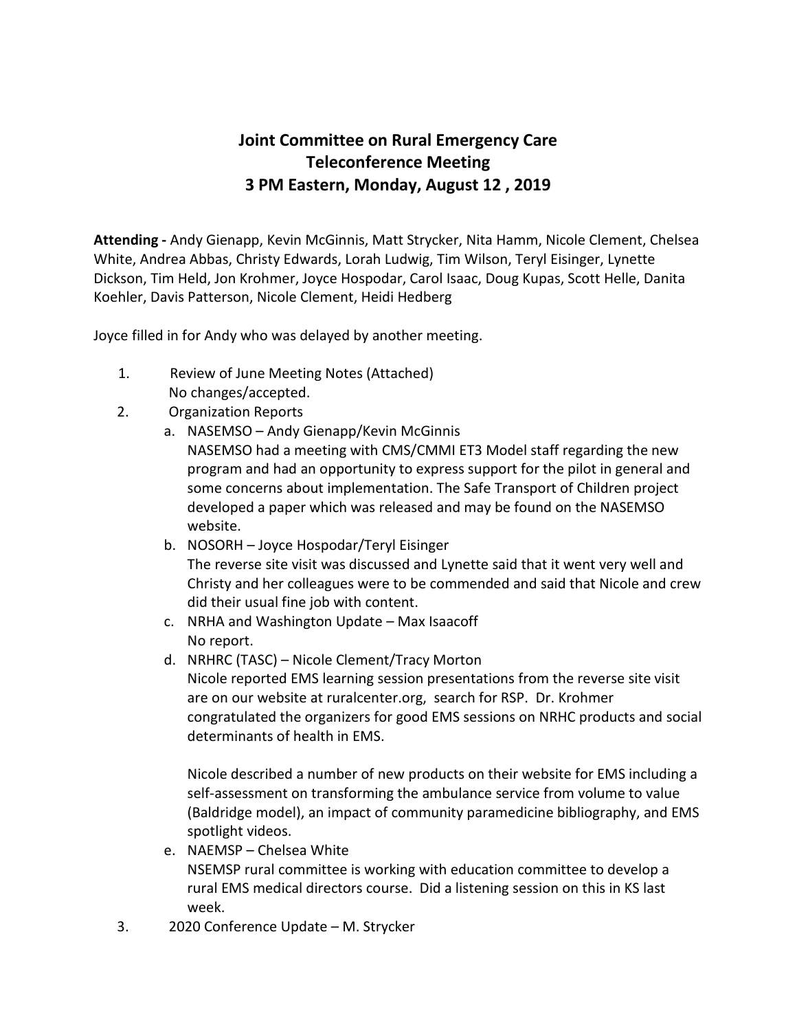## **Joint Committee on Rural Emergency Care Teleconference Meeting 3 PM Eastern, Monday, August 12 , 2019**

**Attending -** Andy Gienapp, Kevin McGinnis, Matt Strycker, Nita Hamm, Nicole Clement, Chelsea White, Andrea Abbas, Christy Edwards, Lorah Ludwig, Tim Wilson, Teryl Eisinger, Lynette Dickson, Tim Held, Jon Krohmer, Joyce Hospodar, Carol Isaac, Doug Kupas, Scott Helle, Danita Koehler, Davis Patterson, Nicole Clement, Heidi Hedberg

Joyce filled in for Andy who was delayed by another meeting.

- 1. Review of June Meeting Notes (Attached) No changes/accepted.
- 2. Organization Reports
	- a. NASEMSO Andy Gienapp/Kevin McGinnis NASEMSO had a meeting with CMS/CMMI ET3 Model staff regarding the new program and had an opportunity to express support for the pilot in general and some concerns about implementation. The Safe Transport of Children project developed a paper which was released and may be found on the NASEMSO website.
	- b. NOSORH Joyce Hospodar/Teryl Eisinger The reverse site visit was discussed and Lynette said that it went very well and Christy and her colleagues were to be commended and said that Nicole and crew did their usual fine job with content.
	- c. NRHA and Washington Update Max Isaacoff No report.
	- d. NRHRC (TASC) Nicole Clement/Tracy Morton Nicole reported EMS learning session presentations from the reverse site visit are on our website at ruralcenter.org, search for RSP. Dr. Krohmer congratulated the organizers for good EMS sessions on NRHC products and social determinants of health in EMS.

Nicole described a number of new products on their website for EMS including a self-assessment on transforming the ambulance service from volume to value (Baldridge model), an impact of community paramedicine bibliography, and EMS spotlight videos.

- e. NAEMSP Chelsea White NSEMSP rural committee is working with education committee to develop a rural EMS medical directors course. Did a listening session on this in KS last week.
- 3. 2020 Conference Update M. Strycker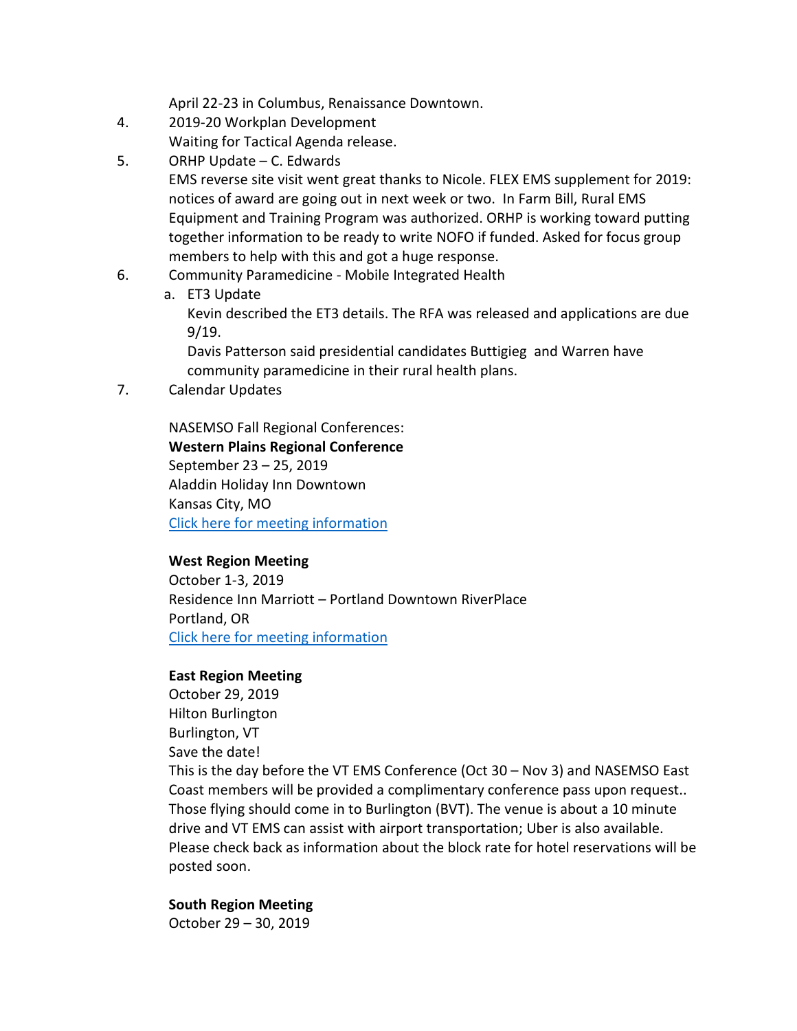April 22-23 in Columbus, Renaissance Downtown.

- 4. 2019-20 Workplan Development Waiting for Tactical Agenda release.
- 5. ORHP Update C. Edwards
	- EMS reverse site visit went great thanks to Nicole. FLEX EMS supplement for 2019: notices of award are going out in next week or two. In Farm Bill, Rural EMS Equipment and Training Program was authorized. ORHP is working toward putting together information to be ready to write NOFO if funded. Asked for focus group members to help with this and got a huge response.
- 6. Community Paramedicine Mobile Integrated Health
	- a. ET3 Update

Kevin described the ET3 details. The RFA was released and applications are due 9/19.

Davis Patterson said presidential candidates Buttigieg and Warren have community paramedicine in their rural health plans.

7. Calendar Updates

NASEMSO Fall Regional Conferences: **Western Plains Regional Conference** September 23 – 25, 2019 Aladdin Holiday Inn Downtown Kansas City, MO [Click here for meeting information](https://nasemso.org/news-events/events/event/western-plains-regional-conference/)

## **West Region Meeting**

October 1-3, 2019 Residence Inn Marriott – Portland Downtown RiverPlace Portland, OR [Click here for meeting information](https://nasemso.org/news-events/events/event/west-region-meeting/)

## **East Region Meeting**

October 29, 2019 Hilton Burlington Burlington, VT Save the date! This is the day before the VT EMS Conference (Oct 30 – Nov 3) and NASEMSO East Coast members will be provided a complimentary conference pass upon request.. Those flying should come in to Burlington (BVT). The venue is about a 10 minute drive and VT EMS can assist with airport transportation; Uber is also available. Please check back as information about the block rate for hotel reservations will be posted soon.

## **South Region Meeting**

October 29 – 30, 2019